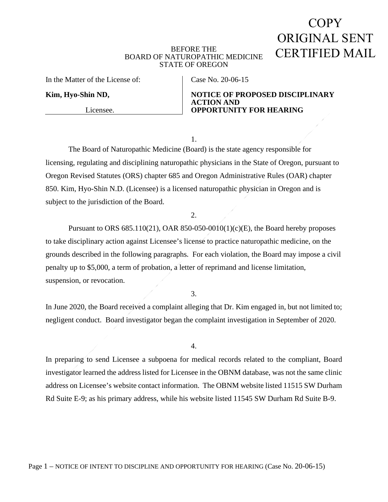# COPY. ORIGINAL SENT CERTIFIED MAIL

#### BEFORE THE BOARD OF NATUROPATHIC MEDICINE STATE OF OREGON

In the Matter of the License of:

Licensee.

**Kim, Hyo-Shin ND,** 

Case No. 20-06-15

**NOTICE OF PROPOSED DISCIPLINARY ACTION AND OPPORTUNITY FOR HEARING**

1.

The Board of Naturopathic Medicine (Board) is the state agency responsible for licensing, regulating and disciplining naturopathic physicians in the State of Oregon, pursuant to Oregon Revised Statutes (ORS) chapter 685 and Oregon Administrative Rules (OAR) chapter 850. Kim, Hyo-Shin N.D. (Licensee) is a licensed naturopathic physician in Oregon and is subject to the jurisdiction of the Board.

#### 2.

Pursuant to ORS 685.110(21), OAR 850-050-0010(1)(c)(E), the Board hereby proposes to take disciplinary action against Licensee's license to practice naturopathic medicine, on the grounds described in the following paragraphs. For each violation, the Board may impose a civil penalty up to \$5,000, a term of probation, a letter of reprimand and license limitation, suspension, or revocation.

3.

In June 2020, the Board received a complaint alleging that Dr. Kim engaged in, but not limited to; negligent conduct. Board investigator began the complaint investigation in September of 2020.

4.

In preparing to send Licensee a subpoena for medical records related to the compliant, Board investigator learned the address listed for Licensee in the OBNM database, was not the same clinic address on Licensee's website contact information. The OBNM website listed 11515 SW Durham Rd Suite E-9; as his primary address, while his website listed 11545 SW Durham Rd Suite B-9.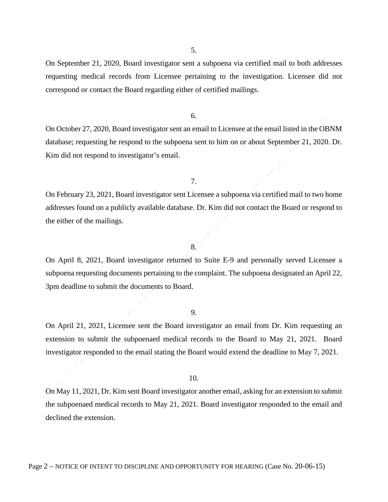5.

On September 21, 2020, Board investigator sent a subpoena via certified mail to both addresses requesting medical records from Licensee pertaining to the investigation. Licensee did not correspond or contact the Board regarding either of certified mailings.

6.

On October 27, 2020, Board investigator sent an email to Licensee at the email listed in the OBNM database; requesting he respond to the subpoena sent to him on or about September 21, 2020. Dr. Kim did not respond to investigator's email.

7.

On February 23, 2021, Board investigator sent Licensee a subpoena via certified mail to two home addresses found on a publicly available database. Dr. Kim did not contact the Board or respond to the either of the mailings.

#### 8.

On April 8, 2021, Board investigator returned to Suite E-9 and personally served Licensee a subpoena requesting documents pertaining to the complaint. The subpoena designated an April 22, 3pm deadline to submit the documents to Board.

9.

On April 21, 2021, Licensee sent the Board investigator an email from Dr. Kim requesting an extension to submit the subpoenaed medical records to the Board to May 21, 2021. Board investigator responded to the email stating the Board would extend the deadline to May 7, 2021.

10.

On May 11, 2021, Dr. Kim sent Board investigator another email, asking for an extension to submit the subpoenaed medical records to May 21, 2021. Board investigator responded to the email and declined the extension.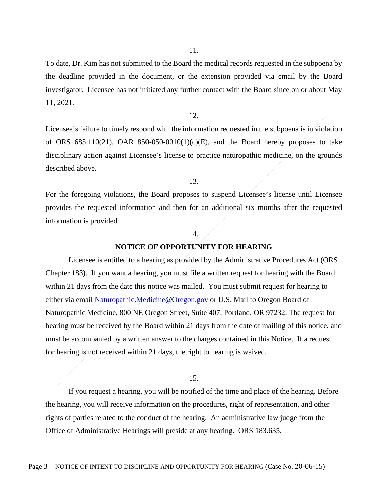11.

To date, Dr. Kim has not submitted to the Board the medical records requested in the subpoena by the deadline provided in the document, or the extension provided via email by the Board investigator. Licensee has not initiated any further contact with the Board since on or about May 11, 2021.

12.

Licensee's failure to timely respond with the information requested in the subpoena is in violation of ORS  $685.110(21)$ , OAR  $850-050-0010(1)(c)(E)$ , and the Board hereby proposes to take disciplinary action against Licensee's license to practice naturopathic medicine, on the grounds described above.

13.

For the foregoing violations, the Board proposes to suspend Licensee's license until Licensee provides the requested information and then for an additional six months after the requested information is provided.

### 14.

#### **NOTICE OF OPPORTUNITY FOR HEARING**

Licensee is entitled to a hearing as provided by the Administrative Procedures Act (ORS Chapter 183). If you want a hearing, you must file a written request for hearing with the Board within 21 days from the date this notice was mailed. You must submit request for hearing to either via email [Naturopathic.Medicine@Oregon.gov](mailto:Naturopathic.Medicine@Oregon.gov) or U.S. Mail to Oregon Board of Naturopathic Medicine, 800 NE Oregon Street, Suite 407, Portland, OR 97232. The request for hearing must be received by the Board within 21 days from the date of mailing of this notice, and must be accompanied by a written answer to the charges contained in this Notice. If a request for hearing is not received within 21 days, the right to hearing is waived.

## 15.

If you request a hearing, you will be notified of the time and place of the hearing. Before the hearing, you will receive information on the procedures, right of representation, and other rights of parties related to the conduct of the hearing. An administrative law judge from the Office of Administrative Hearings will preside at any hearing. ORS 183.635.